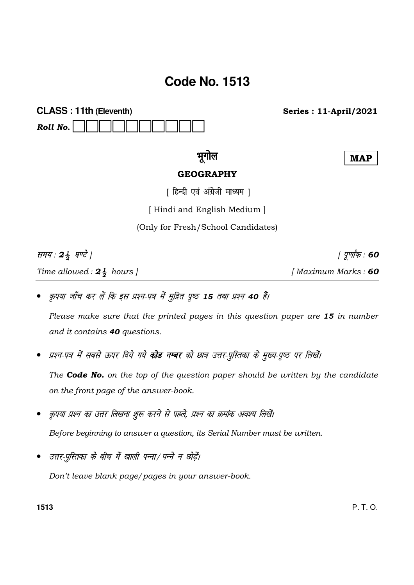# **Code No. 1513**

**CLASS: 11th (Eleventh)** Roll No.

**Series: 11-April/2021** 

## भगोल

## **GEOGRAPHY**

**MAP** 

*। पूर्णांक* : 60

[ हिन्दी एवं अंग्रेजी माध्यम ]

[Hindi and English Medium]

(Only for Fresh/School Candidates)

समय: 24 घण्टे | Time allowed:  $2\frac{1}{2}$  hours ]

- [Maximum Marks: 60
- कृपया जाँच कर लें कि इस प्रश्न-पत्र में मुद्रित पृष्ठ 15 तथा प्रश्न 40 हैं।

Please make sure that the printed pages in this question paper are 15 in number and it contains 40 questions.

प्रश्न-पत्र में सबसे ऊपर दिये गये **कोड नम्बर** को छात्र उत्तर-पुस्तिका के मुख्य-पृष्ठ पर लिखें।

The **Code No.** on the top of the question paper should be written by the candidate on the front page of the answer-book.

- कृपया प्रश्न का उत्तर लिखना शुरू करने से पहले, प्रश्न का क्रमांक अवश्य लिखें। Before beginning to answer a question, its Serial Number must be written.
- उत्तर-परितका के बीच में खाली पन्ना/ पन्ने न छोड़ें।

Don't leave blank page/pages in your answer-book.

1513

P.T.O.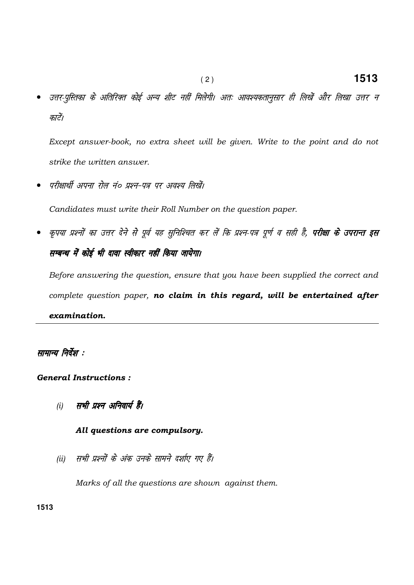उत्तर-पुस्तिका के अतिरिक्त कोई अन्य शीट नहीं मिलेगी। अतः आवश्यकतानुसार ही लिखें और लिखा उत्तर न कारें।

Except answer-book, no extra sheet will be given. Write to the point and do not strike the written answer.

• परीक्षार्थी अपना रोल नं० प्रश्न-पत्र पर अवश्य लिखें।

Candidates must write their Roll Number on the question paper.

कृपया प्रश्नों का उत्तर देने से पूर्व यह सुनिश्चित कर लें कि प्रश्न-पत्र पूर्ण व सही है, **परीक्षा के उपरान्त इस** सम्बन्ध में कोई भी दावा स्वीकार नहीं किया जायेगा।

Before answering the question, ensure that you have been supplied the correct and complete question paper, no claim in this regard, will be entertained after examination.

### सामान्य निर्देश :

### General Instructions :

(i) सभी प्रश्न अनिवार्य हैं।

### All questions are compulsory.

(ii) सभी प्रश्नों के अंक उनके सामने दर्शाए गए हैं।

Marks of all the questions are shown against them.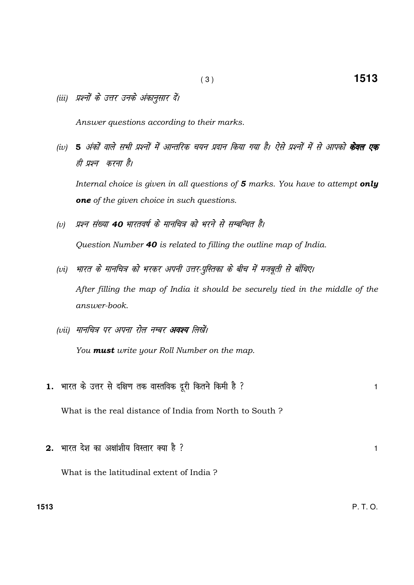(iii) प्रश्नों के उत्तर उनके अंकानुसार दें।

Answer questions according to their marks.

(iv) 5 अंकों वाले सभी प्रश्नों में आन्तरिक चयन प्रदान किया गया है। ऐसे प्रश्नों में से आपको **केवल एक** ही प्रश्न करना है।

Internal choice is given in all questions of 5 marks. You have to attempt only one of the given choice in such questions.

(v) प्रश्न संख्या 40 भारतवर्ष के मानचित्र को भरने से सम्बन्धित है।

Question Number 40 is related to filling the outline map of India.

- (vi) भारत के मानचित्र को भरकर अपनी उत्तर-पुस्तिका के बीच में मजबूती से बाँधिए। After filling the map of India it should be securely tied in the middle of the answer-book.
- (vii) मानचित्र पर अपना रोल नम्बर **अवश्य** लिखें। You **must** write your Roll Number on the map.
- 1. भारत के उत्तर से दक्षिण तक वास्तविक दूरी कितने किमी है ? What is the real distance of India from North to South ?
- $2.$  भारत देश का अक्षांशीय विस्तार क्या है ?  $1$ What is the latitudinal extent of India ?

**1513** P. T. O.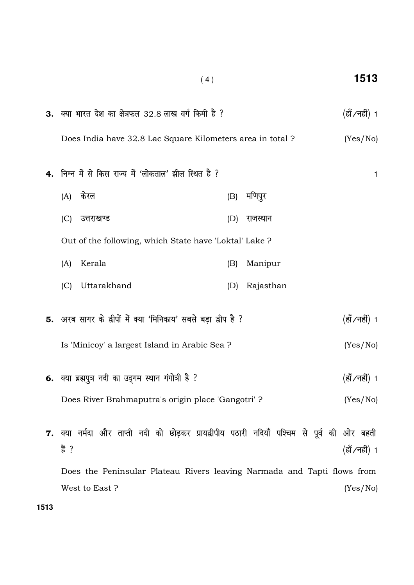|      | 3. क्या भारत देश का क्षेत्रफल 32.8 लाख वर्ग किमी है ? |                                                                                             |               |                                                      |                                                                         |     |           |               | (हॉं ∕नहीं) 1 |
|------|-------------------------------------------------------|---------------------------------------------------------------------------------------------|---------------|------------------------------------------------------|-------------------------------------------------------------------------|-----|-----------|---------------|---------------|
|      |                                                       |                                                                                             |               |                                                      | Does India have 32.8 Lac Square Kilometers area in total?               |     |           |               | (Yes/No)      |
|      |                                                       |                                                                                             |               |                                                      |                                                                         |     |           |               |               |
|      |                                                       |                                                                                             |               |                                                      | 4. निम्न में से किस राज्य में 'लोकताल' झील स्थित है ?                   |     |           |               | $\mathbf{1}$  |
|      | (A)                                                   | केरल                                                                                        |               |                                                      |                                                                         | (B) | मणिपुर    |               |               |
|      | (C)                                                   |                                                                                             | उत्तराखण्ड    |                                                      |                                                                         | (D) | राजस्थान  |               |               |
|      |                                                       |                                                                                             |               |                                                      | Out of the following, which State have 'Loktal' Lake?                   |     |           |               |               |
|      | (A)                                                   |                                                                                             | Kerala        |                                                      |                                                                         | (B) | Manipur   |               |               |
|      | (C)                                                   |                                                                                             | Uttarakhand   |                                                      |                                                                         | (D) | Rajasthan |               |               |
|      |                                                       |                                                                                             |               |                                                      | 5. अरब सागर के द्वीपों में क्या 'मिनिकाय' सबसे बड़ा द्वीप है ?          |     |           |               | (हॉं ∕नहीं) 1 |
|      |                                                       |                                                                                             |               |                                                      | Is 'Minicoy' a largest Island in Arabic Sea ?                           |     |           |               | (Yes/No)      |
|      |                                                       |                                                                                             |               | 6. क्या ब्रह्मपुत्र नदी का उद्गम स्थान गंगोत्री है ? |                                                                         |     |           |               | (हॉ ∕नहीं) 1  |
|      | Does River Brahmaputra's origin place 'Gangotri' ?    |                                                                                             |               |                                                      |                                                                         |     | (Yes/No)  |               |               |
|      |                                                       |                                                                                             |               |                                                      |                                                                         |     |           |               |               |
|      | हैं ?                                                 | 7. क्या नर्मदा और ताप्ती नदी को छोड़कर प्रायद्वीपीय पठारी नदियाँ पश्चिम से पूर्व की ओर बहती |               |                                                      |                                                                         |     |           | (हॉं ∕नहीं) 1 |               |
|      |                                                       |                                                                                             |               |                                                      | Does the Peninsular Plateau Rivers leaving Narmada and Tapti flows from |     |           |               |               |
|      |                                                       |                                                                                             | West to East? |                                                      |                                                                         |     |           |               | (Yes/No)      |
| 1513 |                                                       |                                                                                             |               |                                                      |                                                                         |     |           |               |               |

# ( 4 ) **1513**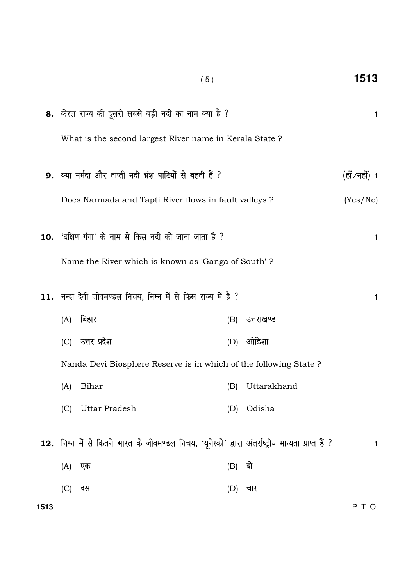|      |                      | (5)                                                                                                  |          |             | 1513          |
|------|----------------------|------------------------------------------------------------------------------------------------------|----------|-------------|---------------|
|      |                      | 8. केरल राज्य की दूसरी सबसे बड़ी नदी का नाम क्या है ?                                                |          |             | 1             |
|      |                      | What is the second largest River name in Kerala State?                                               |          |             |               |
|      |                      | 9. क्या नर्मदा और ताप्ती नदी भ्रंश घाटियों से बहती हैं ?                                             |          |             | (हाँ ∕नहीं) 1 |
|      |                      | Does Narmada and Tapti River flows in fault valleys ?                                                |          |             | (Yes/No)      |
|      |                      | 10. 'दक्षिण-गंगा' के नाम से किस नदी को जाना जाता है ?                                                |          |             | 1             |
|      |                      | Name the River which is known as 'Ganga of South'?                                                   |          |             |               |
|      |                      | 11. नन्दा देवी जीवमण्डल निचय, निम्न में से किस राज्य में है ?                                        |          |             | 1             |
|      | बिहार<br>(A)         |                                                                                                      | (B)      | उत्तराखण्ड  |               |
|      | (C) उत्तर प्रदेश     |                                                                                                      | (D)      | ओडिशा       |               |
|      |                      | Nanda Devi Biosphere Reserve is in which of the following State?                                     |          |             |               |
|      | Bihar<br>(A)         |                                                                                                      | (B)      | Uttarakhand |               |
|      | Uttar Pradesh<br>(C) |                                                                                                      | (D)      | Odisha      |               |
|      |                      | 12. निम्न में से कितने भारत के जीवमण्डल निचय, 'यूनेस्को' द्वारा अंतर्राष्ट्रीय मान्यता प्राप्त हैं ? |          |             | 1             |
|      | (A)<br>एक            |                                                                                                      | $(B)$ दो |             |               |
|      | (C)<br>दस            |                                                                                                      | (D)      | चार         |               |
| 1513 |                      |                                                                                                      |          |             | P. T. O.      |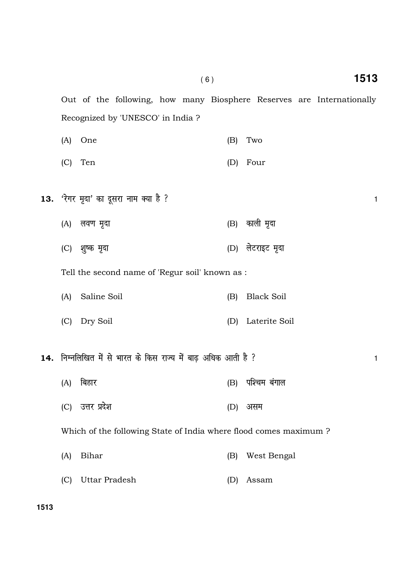Recognized by 'UNESCO' in India ? (A) One (B) Two (C) Ten (D) Four  $13.$   $\sqrt{3}$ गर मृदा' का दूसरा नाम क्या है ?

Out of the following, how many Biosphere Reserves are Internationally

- (A) yo.k e `nk (B) dkyh e`nk
- (C) 'k q"d e`nk (D) ysVjkbV e `nk
- Tell the second name of 'Regur soil' known as :
- (A) Saline Soil (B) Black Soil
- (C) Dry Soil (D) Laterite Soil
- $14.$  निम्नलिखित में से भारत के किस राज्य में बाढ़ अधिक आती है ?  $\,$ 
	- (A) fcgkj (B) if'pe caxky
	- (C) उत्तर प्रदेश कर समय (D) असम

Which of the following State of India where flood comes maximum ?

- (A) Bihar (B) West Bengal
- (C) Uttar Pradesh (D) Assam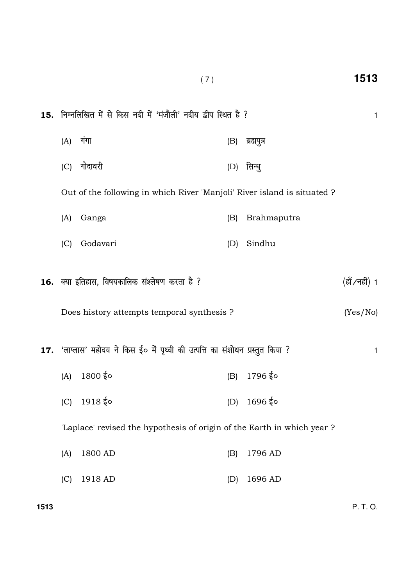| 15. निम्नलिखित में से किस नदी में 'मंजौली' नदीय द्वीप स्थित है ?        |                                                                                |     |                            |              |  |  |
|-------------------------------------------------------------------------|--------------------------------------------------------------------------------|-----|----------------------------|--------------|--|--|
| (A)                                                                     | गंगा                                                                           | (B) | ब्रह्मपुत्र                |              |  |  |
| (C)                                                                     | गोदावरी                                                                        | (D) | सिन्धु                     |              |  |  |
|                                                                         | Out of the following in which River 'Manjoli' River island is situated?        |     |                            |              |  |  |
| (A)                                                                     | Ganga                                                                          | (B) | Brahmaputra                |              |  |  |
| (C)                                                                     | Godavari                                                                       | (D) | Sindhu                     |              |  |  |
| 16. क्या इतिहास, विषयकालिक संश्लेषण करता है ?                           |                                                                                |     |                            |              |  |  |
| Does history attempts temporal synthesis ?                              |                                                                                |     |                            |              |  |  |
|                                                                         | 17. 'लाप्लास' महोदय ने किस ई० में पृथ्वी की उत्पत्ति का संशोधन प्रस्तुत किया ? |     |                            | $\mathbf{1}$ |  |  |
|                                                                         | $(A)$ 1800 $\frac{1}{5}$ o                                                     |     | $(B)$ 1796 $\frac{2}{3}$ o |              |  |  |
|                                                                         | $(C)$ 1918 $\frac{1}{5}$ o                                                     |     | (D) $1696 \, \text{kg}$    |              |  |  |
| 'Laplace' revised the hypothesis of origin of the Earth in which year ? |                                                                                |     |                            |              |  |  |
| (A)                                                                     | 1800 AD                                                                        | (B) | 1796 AD                    |              |  |  |
| (C)                                                                     | 1918 AD                                                                        | (D) | 1696 AD                    |              |  |  |

( 7 ) **1513**

**1513** P. T. O.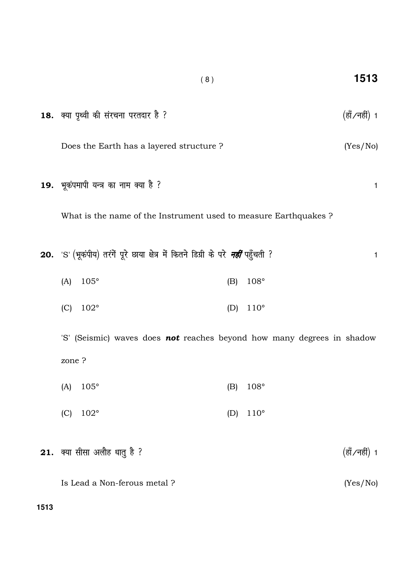| 18. क्या पृथ्वी की संरचना परतदार है ?                                                     |     |               |  | (हॉं ∕नहीं) 1 |   |
|-------------------------------------------------------------------------------------------|-----|---------------|--|---------------|---|
| Does the Earth has a layered structure?                                                   |     |               |  | (Yes/No)      |   |
| 19. भूकंपमापी यन्त्र का नाम क्या है ?                                                     |     |               |  |               | 1 |
| What is the name of the Instrument used to measure Earthquakes?                           |     |               |  |               |   |
| 20.  'S' (भूकंपीय) तरंगें पूरे छाया क्षेत्र में कितने डिग्री के परे <i>नहीं</i> पहुँचती ? |     |               |  |               | 1 |
| $105^\circ$<br>(A)                                                                        | (B) | 108°          |  |               |   |
| (C)<br>$102^{\circ}$                                                                      | (D) | $110^{\circ}$ |  |               |   |
| 'S' (Seismic) waves does <b>not</b> reaches beyond how many degrees in shadow             |     |               |  |               |   |
| zone ?                                                                                    |     |               |  |               |   |
| $105^\circ$<br>(A)                                                                        | (B) | 108°          |  |               |   |
| 102°<br>(C)                                                                               | (D) | $110^\circ$   |  |               |   |
| 21. क्या सीसा अलौह धातु है ?                                                              |     |               |  | (हॉं ∕नहीं) 1 |   |
| Is Lead a Non-ferous metal?                                                               |     |               |  | (Yes/No)      |   |

( 8 ) **1513**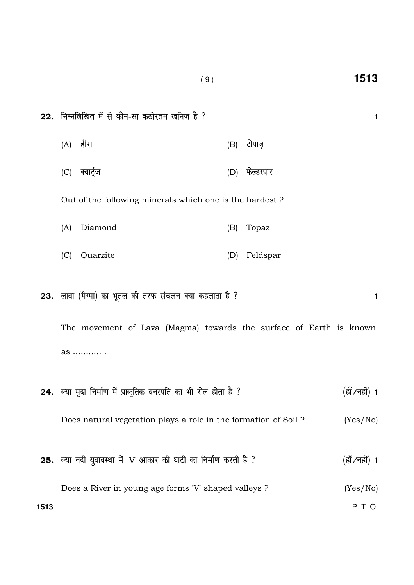| 22. निम्नलिखित में से कौन-सा कठोरतम खनिज है ?                      |                                                                  |     |                |               |  |  |  |
|--------------------------------------------------------------------|------------------------------------------------------------------|-----|----------------|---------------|--|--|--|
|                                                                    | (A) हीरा                                                         | (B) | टोपाज़         |               |  |  |  |
| (C)                                                                | क्वार्ट्ज़                                                       |     | (D) फेल्डस्पार |               |  |  |  |
|                                                                    | Out of the following minerals which one is the hardest?          |     |                |               |  |  |  |
| (A)                                                                | Diamond                                                          | (B) | Topaz          |               |  |  |  |
| (C)                                                                | Quarzite                                                         | (D) | Feldspar       |               |  |  |  |
|                                                                    | 23. लावा (मैग्मा) का भूतल की तरफ संचलन क्या कहलाता है ?          |     |                | 1             |  |  |  |
| The movement of Lava (Magma) towards the surface of Earth is known |                                                                  |     |                |               |  |  |  |
| as  .                                                              |                                                                  |     |                |               |  |  |  |
|                                                                    | 24. क्या मृदा निर्माण में प्राकृतिक वनस्पति का भी रोल होता है ?  |     |                | (हॉं ∕नहीं) 1 |  |  |  |
|                                                                    | Does natural vegetation plays a role in the formation of Soil ?  |     | (Yes/No)       |               |  |  |  |
|                                                                    | 25. क्या नदी युवावस्था में 'V' आकार की घाटी का निर्माण करती है ? |     |                | (हॉं ∕नहीं) 1 |  |  |  |
|                                                                    | Does a River in young age forms 'V' shaped valleys ?             |     |                | (Yes/No)      |  |  |  |

( 9 ) **1513**

**1513** P. T. O.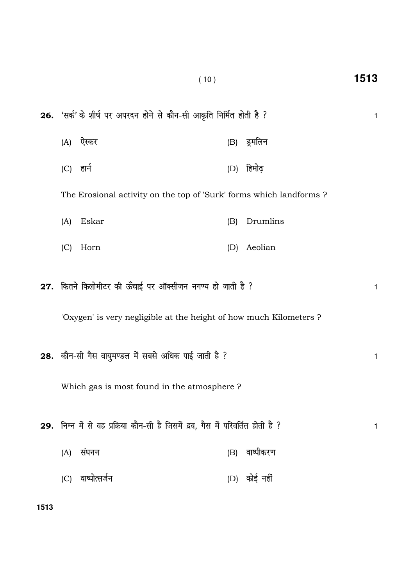|           | 26. 'सर्क' के शीर्ष पर अपरदन होने से कौन-सी आकृति निर्मित होती है ?                                                             |     |              | 1 |
|-----------|---------------------------------------------------------------------------------------------------------------------------------|-----|--------------|---|
|           | (A) ऐस्कर                                                                                                                       |     | (B) ड्रमलिन  |   |
| (C) हार्न |                                                                                                                                 | (D) | हिमोढ़       |   |
|           | The Erosional activity on the top of 'Surk' forms which landforms?                                                              |     |              |   |
| (A)       | Eskar                                                                                                                           | (B) | Drumlins     |   |
| (C)       | Horn                                                                                                                            | (D) | Aeolian      |   |
|           | 27. कितने किलोमीटर की ऊँचाई पर ऑक्सीजन नगण्य हो जाती है ?<br>'Oxygen' is very negligible at the height of how much Kilometers ? |     |              | 1 |
|           | 28. कौन-सी गैस वायुमण्डल में सबसे अधिक पाई जाती है ?<br>Which gas is most found in the atmosphere ?                             |     |              | 1 |
| (A)       | 29. निम्न में से वह प्रक्रिया कौन-सी है जिसमें द्रव, गैस में परिवर्तित होती है ?<br>संघनन                                       | (B) | वाष्पीकरण    | 1 |
| (C)       | वाष्पोत्सर्जन                                                                                                                   |     | (D) कोई नहीं |   |

 $(10)$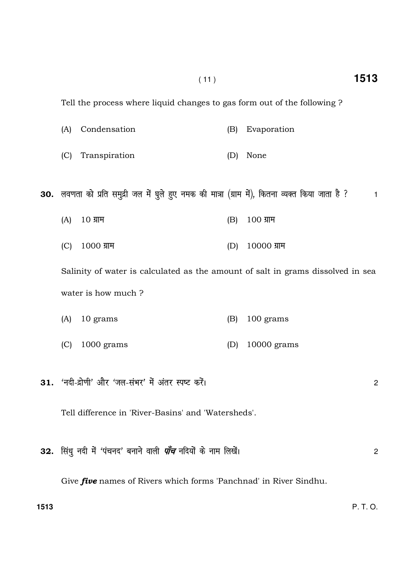Tell the process where liquid changes to gas form out of the following ?

- (A) Condensation (B) Evaporation
- (C) Transpiration (D) None

30. लवणता को प्रति समुद्री जल में घुले हुए नमक की मात्रा (ग्राम में), कितना व्यक्त किया जाता है ? 1

- $(A)$  10  $\overline{a}$  100  $\overline{a}$  100  $\overline{a}$  100  $\overline{a}$  100  $\overline{a}$
- (C) 1000 ग्राम (D) 10000 ग्राम

Salinity of water is calculated as the amount of salt in grams dissolved in sea water is how much ?

- (A) 10 grams (B) 100 grams
- (C) 1000 grams (D) 10000 grams
- 31. 'नदी-द्रोणी' और 'जल-संभर' में अंतर स्पष्ट करें। अस्ता प्राप्त कर कर कर कर का स्थान कर बात कर बात 2

Tell difference in 'River-Basins' and 'Watersheds'.

|  |  |  | 32. सिंध नदी में 'पंचनद' बनाने वाली <i>पाँच</i> नदियों के नाम लिखें। |  |
|--|--|--|----------------------------------------------------------------------|--|
|--|--|--|----------------------------------------------------------------------|--|

Give *five* names of Rivers which forms 'Panchnad' in River Sindhu.

**1513** P. T. O.

( 11 ) **1513**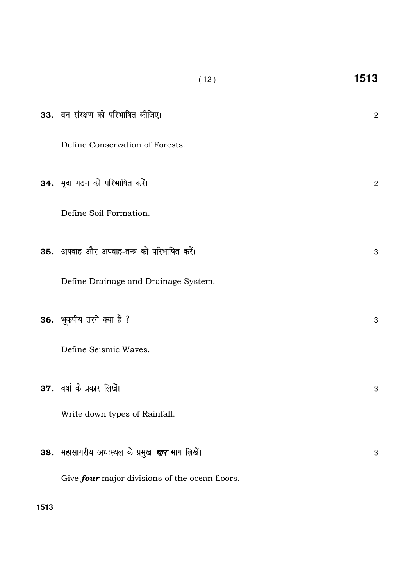| 33. वन संरक्षण को परिभाषित कीजिए।                     | $\overline{c}$   |
|-------------------------------------------------------|------------------|
| Define Conservation of Forests.                       |                  |
| 34. मृदा गठन को परिभाषित करें।                        | $\overline{2}$   |
| Define Soil Formation.                                |                  |
| 35. अपवाह और अपवाह-तन्त्र को परिभाषित करें।           | $\boldsymbol{3}$ |
| Define Drainage and Drainage System.                  |                  |
| 36. भूकंपीय तंरगें क्या हैं ?                         | 3                |
| Define Seismic Waves.                                 |                  |
| 37. वर्षा के प्रकार लिखें।                            | 3                |
| Write down types of Rainfall.                         |                  |
| 38. महासागरीय अधःस्थल के प्रमुख <i>चार</i> भाग लिखें। | 3                |
| Give four major divisions of the ocean floors.        |                  |

 $(12)$ 

1513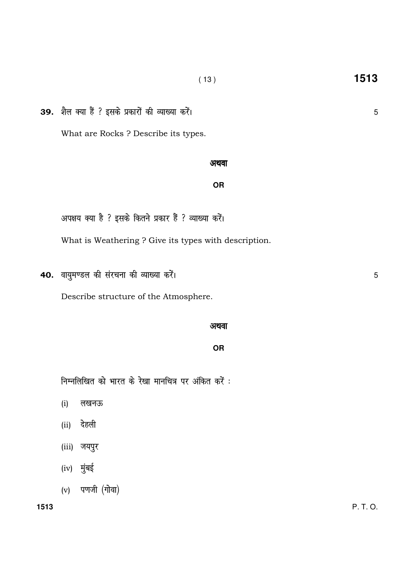39. शैल क्या हैं ? इसके प्रकारों की व्याख्या करें। What are Rocks ? Describe its types.

#### अथवा

### **OR**

अपक्षय क्या है ? इसके कितने प्रकार हैं ? व्याख्या करें।

What is Weathering ? Give its types with description.

40. वायुमण्डल की संरचना की व्याख्या करें।

Describe structure of the Atmosphere.

#### अथवा

**OR** 

निम्नलिखित को भारत के रेखा मानचित्र पर अंकित करें :

- लखनऊ  $(i)$
- (ii) देहली
- (iii) जयपुर
- (iv) मुंबई
- $(v)$  पणजी (गोवा)

1513

 $5\phantom{.}$ 

 $5\phantom{.}$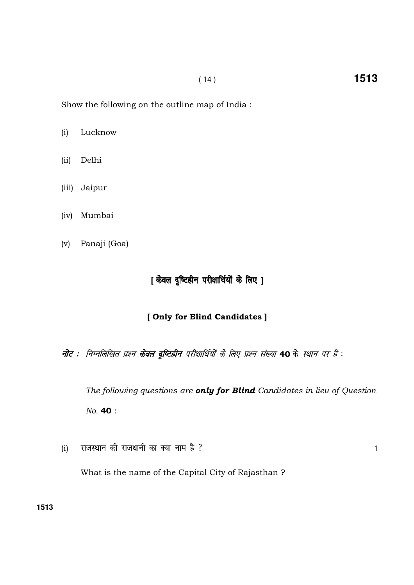Show the following on the outline map of India :

(i) Lucknow

- (ii) Delhi
- (iii) Jaipur
- (iv) Mumbai
- (v) Panaji (Goa)

## [ केवल दृष्टिहीन परीक्षार्थियों के लिए ]

### [ Only for Blind Candidates ]

नोट : निम्नलिखित प्रश्न केवल द्रुष्टिहीन परीक्षार्थियों के लिए प्रश्न संख्या 40 के स्थान पर है :

The following questions are only for Blind Candidates in lieu of Question No. 40 :

(i) राजस्थान की राजधानी का क्या नाम है ?

What is the name of the Capital City of Rajasthan ?